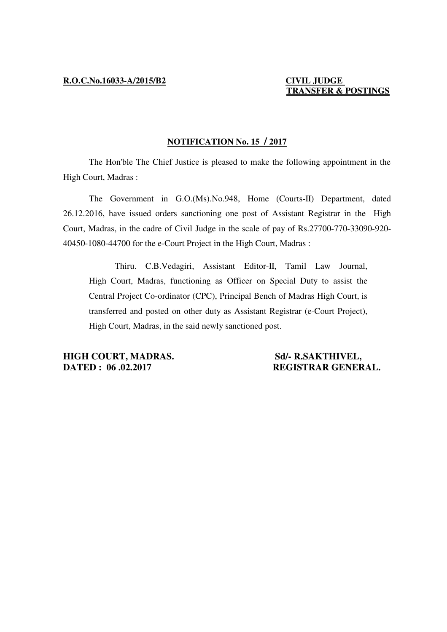## **TRANSFER & POSTINGS**

#### **NOTIFICATION No. 15 / 2017**

 The Hon'ble The Chief Justice is pleased to make the following appointment in the High Court, Madras :

 The Government in G.O.(Ms).No.948, Home (Courts-II) Department, dated 26.12.2016, have issued orders sanctioning one post of Assistant Registrar in the High Court, Madras, in the cadre of Civil Judge in the scale of pay of Rs.27700-770-33090-920- 40450-1080-44700 for the e-Court Project in the High Court, Madras :

 Thiru. C.B.Vedagiri, Assistant Editor-II, Tamil Law Journal, High Court, Madras, functioning as Officer on Special Duty to assist the Central Project Co-ordinator (CPC), Principal Bench of Madras High Court, is transferred and posted on other duty as Assistant Registrar (e-Court Project), High Court, Madras, in the said newly sanctioned post.

**HIGH COURT, MADRAS.** Sd/- R.SAKTHIVEL, **DATED : 06 .02.2017 REGISTRAR GENERAL.**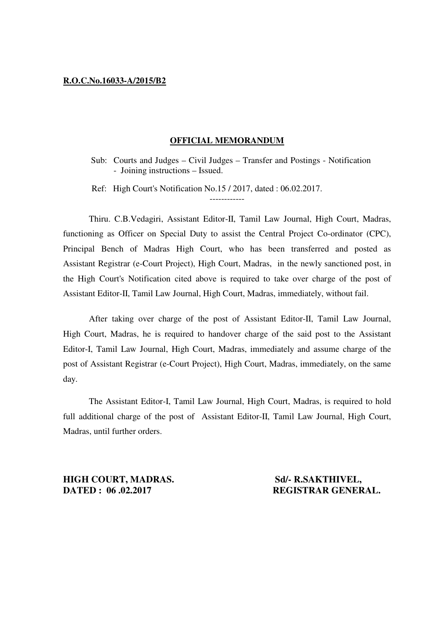#### **R.O.C.No.16033-A/2015/B2**

#### **OFFICIAL MEMORANDUM**

Sub: Courts and Judges – Civil Judges – Transfer and Postings - Notification - Joining instructions – Issued.

------------

Ref: High Court's Notification No.15 / 2017, dated : 06.02.2017.

 Thiru. C.B.Vedagiri, Assistant Editor-II, Tamil Law Journal, High Court, Madras, functioning as Officer on Special Duty to assist the Central Project Co-ordinator (CPC), Principal Bench of Madras High Court, who has been transferred and posted as Assistant Registrar (e-Court Project), High Court, Madras, in the newly sanctioned post, in the High Court's Notification cited above is required to take over charge of the post of Assistant Editor-II, Tamil Law Journal, High Court, Madras, immediately, without fail.

 After taking over charge of the post of Assistant Editor-II, Tamil Law Journal, High Court, Madras, he is required to handover charge of the said post to the Assistant Editor-I, Tamil Law Journal, High Court, Madras, immediately and assume charge of the post of Assistant Registrar (e-Court Project), High Court, Madras, immediately, on the same day.

 The Assistant Editor-I, Tamil Law Journal, High Court, Madras, is required to hold full additional charge of the post of Assistant Editor-II, Tamil Law Journal, High Court, Madras, until further orders.

**HIGH COURT, MADRAS.** Sd/- R.SAKTHIVEL, **DATED : 06.02.2017 REGISTRAR GENERAL.**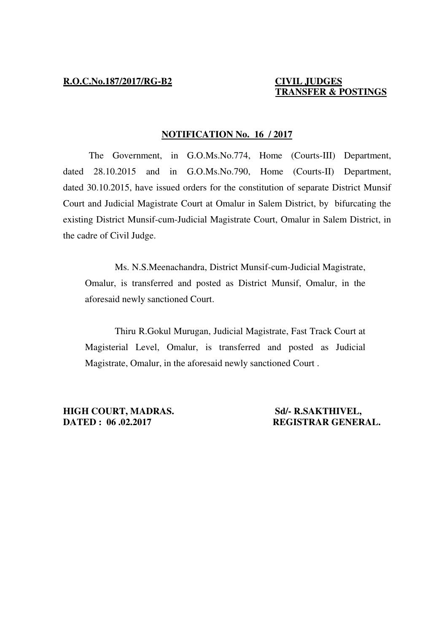# **TRANSFER & POSTINGS**

#### **NOTIFICATION No. 16 / 2017**

 The Government, in G.O.Ms.No.774, Home (Courts-III) Department, dated 28.10.2015 and in G.O.Ms.No.790, Home (Courts-II) Department, dated 30.10.2015, have issued orders for the constitution of separate District Munsif Court and Judicial Magistrate Court at Omalur in Salem District, by bifurcating the existing District Munsif-cum-Judicial Magistrate Court, Omalur in Salem District, in the cadre of Civil Judge.

 Ms. N.S.Meenachandra, District Munsif-cum-Judicial Magistrate, Omalur, is transferred and posted as District Munsif, Omalur, in the aforesaid newly sanctioned Court.

 Thiru R.Gokul Murugan, Judicial Magistrate, Fast Track Court at Magisterial Level, Omalur, is transferred and posted as Judicial Magistrate, Omalur, in the aforesaid newly sanctioned Court .

**HIGH COURT, MADRAS.** Sd/- R.SAKTHIVEL, **DATED : 06 .02.2017 REGISTRAR GENERAL.**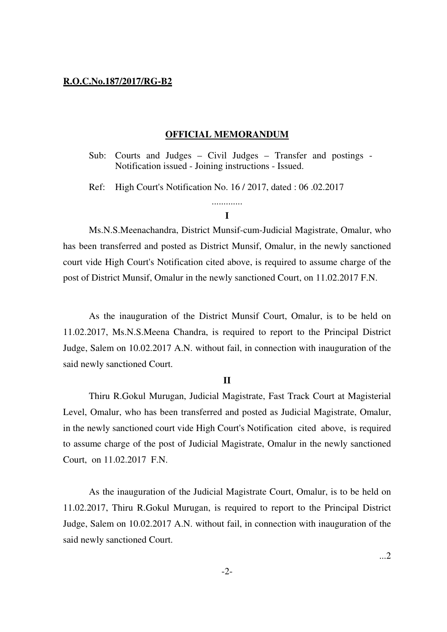#### **R.O.C.No.187/2017/RG-B2**

#### **OFFICIAL MEMORANDUM**

Sub: Courts and Judges – Civil Judges – Transfer and postings - Notification issued - Joining instructions - Issued.

Ref: High Court's Notification No. 16 / 2017, dated : 06 .02.2017

### ............. **I**

Ms.N.S.Meenachandra, District Munsif-cum-Judicial Magistrate, Omalur, who has been transferred and posted as District Munsif, Omalur, in the newly sanctioned court vide High Court's Notification cited above, is required to assume charge of the post of District Munsif, Omalur in the newly sanctioned Court, on 11.02.2017 F.N.

As the inauguration of the District Munsif Court, Omalur, is to be held on 11.02.2017, Ms.N.S.Meena Chandra, is required to report to the Principal District Judge, Salem on 10.02.2017 A.N. without fail, in connection with inauguration of the said newly sanctioned Court.

#### **II**

 Thiru R.Gokul Murugan, Judicial Magistrate, Fast Track Court at Magisterial Level, Omalur, who has been transferred and posted as Judicial Magistrate, Omalur, in the newly sanctioned court vide High Court's Notification cited above, is required to assume charge of the post of Judicial Magistrate, Omalur in the newly sanctioned Court, on 11.02.2017 F.N.

 As the inauguration of the Judicial Magistrate Court, Omalur, is to be held on 11.02.2017, Thiru R.Gokul Murugan, is required to report to the Principal District Judge, Salem on 10.02.2017 A.N. without fail, in connection with inauguration of the said newly sanctioned Court.

...2